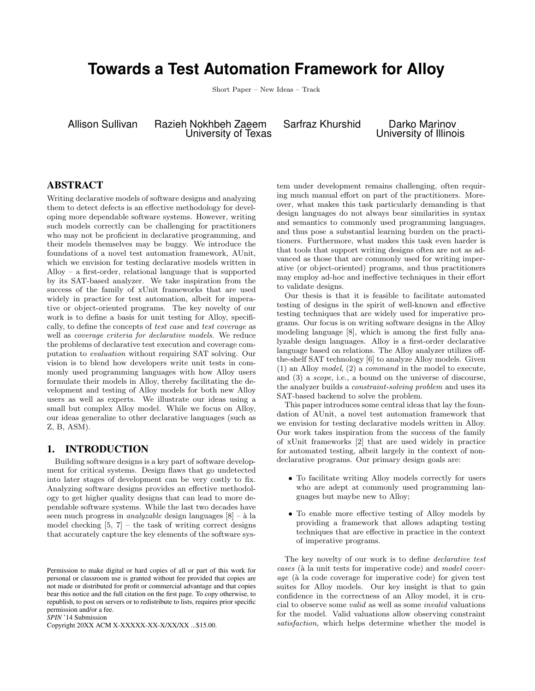# **Towards a Test Automation Framework for Alloy**

Short Paper – New Ideas – Track

Allison Sullivan Razieh Nokhbeh Zaeem Sarfraz Khurshid Darko Marinov

University of Illinois

# ABSTRACT

Writing declarative models of software designs and analyzing them to detect defects is an effective methodology for developing more dependable software systems. However, writing such models correctly can be challenging for practitioners who may not be proficient in declarative programming, and their models themselves may be buggy. We introduce the foundations of a novel test automation framework, AUnit, which we envision for testing declarative models written in Alloy – a first-order, relational language that is supported by its SAT-based analyzer. We take inspiration from the success of the family of xUnit frameworks that are used widely in practice for test automation, albeit for imperative or object-oriented programs. The key novelty of our work is to define a basis for unit testing for Alloy, specifically, to define the concepts of test case and test coverage as well as coverage criteria for declarative models. We reduce the problems of declarative test execution and coverage computation to evaluation without requiring SAT solving. Our vision is to blend how developers write unit tests in commonly used programming languages with how Alloy users formulate their models in Alloy, thereby facilitating the development and testing of Alloy models for both new Alloy users as well as experts. We illustrate our ideas using a small but complex Alloy model. While we focus on Alloy, our ideas generalize to other declarative languages (such as Z, B, ASM).

#### 1. INTRODUCTION

Building software designs is a key part of software development for critical systems. Design flaws that go undetected into later stages of development can be very costly to fix. Analyzing software designs provides an effective methodology to get higher quality designs that can lead to more dependable software systems. While the last two decades have seen much progress in *analyzable* design languages  $[8]$  –  $\hat{a}$  la model checking  $[5, 7]$  – the task of writing correct designs that accurately capture the key elements of the software sys-

*SPIN* '14 Submission

Copyright 20XX ACM X-XXXXX-XX-X/XX/XX ...\$15.00.

tem under development remains challenging, often requiring much manual effort on part of the practitioners. Moreover, what makes this task particularly demanding is that design languages do not always bear similarities in syntax and semantics to commonly used programming languages, and thus pose a substantial learning burden on the practitioners. Furthermore, what makes this task even harder is that tools that support writing designs often are not as advanced as those that are commonly used for writing imperative (or object-oriented) programs, and thus practitioners may employ ad-hoc and ineffective techniques in their effort to validate designs.

Our thesis is that it is feasible to facilitate automated testing of designs in the spirit of well-known and effective testing techniques that are widely used for imperative programs. Our focus is on writing software designs in the Alloy modeling language [8], which is among the first fully analyzable design languages. Alloy is a first-order declarative language based on relations. The Alloy analyzer utilizes offthe-shelf SAT technology [6] to analyze Alloy models. Given (1) an Alloy model, (2) a command in the model to execute, and (3) a scope, i.e., a bound on the universe of discourse, the analyzer builds a constraint-solving problem and uses its SAT-based backend to solve the problem.

This paper introduces some central ideas that lay the foundation of AUnit, a novel test automation framework that we envision for testing declarative models written in Alloy. Our work takes inspiration from the success of the family of xUnit frameworks [2] that are used widely in practice for automated testing, albeit largely in the context of nondeclarative programs. Our primary design goals are:

- To facilitate writing Alloy models correctly for users who are adept at commonly used programming languages but maybe new to Alloy;
- To enable more effective testing of Alloy models by providing a framework that allows adapting testing techniques that are effective in practice in the context of imperative programs.

The key novelty of our work is to define declarative test cases (à la unit tests for imperative code) and model cover $age$  (à la code coverage for imperative code) for given test suites for Alloy models. Our key insight is that to gain confidence in the correctness of an Alloy model, it is crucial to observe some valid as well as some invalid valuations for the model. Valid valuations allow observing constraint satisfaction, which helps determine whether the model is

Permission to make digital or hard copies of all or part of this work for personal or classroom use is granted without fee provided that copies are not made or distributed for profit or commercial advantage and that copies bear this notice and the full citation on the first page. To copy otherwise, to republish, to post on servers or to redistribute to lists, requires prior specific permission and/or a fee.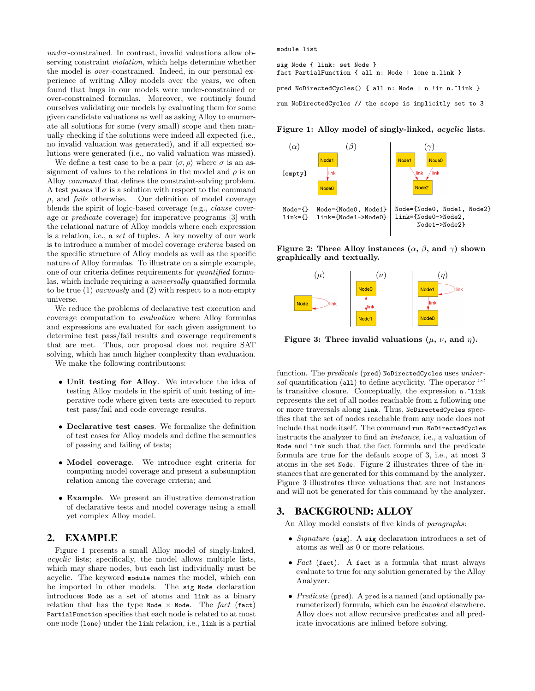under -constrained. In contrast, invalid valuations allow observing constraint violation, which helps determine whether the model is over-constrained. Indeed, in our personal experience of writing Alloy models over the years, we often found that bugs in our models were under-constrained or over-constrained formulas. Moreover, we routinely found ourselves validating our models by evaluating them for some given candidate valuations as well as asking Alloy to enumerate all solutions for some (very small) scope and then manually checking if the solutions were indeed all expected (i.e., no invalid valuation was generated), and if all expected solutions were generated (i.e., no valid valuation was missed).

We define a test case to be a pair  $\langle \sigma, \rho \rangle$  where  $\sigma$  is an assignment of values to the relations in the model and  $\rho$  is an Alloy command that defines the constraint-solving problem. A test passes if  $\sigma$  is a solution with respect to the command  $\rho$ , and *fails* otherwise. Our definition of model coverage blends the spirit of logic-based coverage (e.g., clause coverage or predicate coverage) for imperative programs [3] with the relational nature of Alloy models where each expression is a relation, i.e., a set of tuples. A key novelty of our work is to introduce a number of model coverage criteria based on the specific structure of Alloy models as well as the specific nature of Alloy formulas. To illustrate on a simple example, one of our criteria defines requirements for quantified formulas, which include requiring a universally quantified formula to be true  $(1)$  *vacuously* and  $(2)$  with respect to a non-empty universe.

We reduce the problems of declarative test execution and coverage computation to evaluation where Alloy formulas and expressions are evaluated for each given assignment to determine test pass/fail results and coverage requirements that are met. Thus, our proposal does not require SAT solving, which has much higher complexity than evaluation. We make the following contributions:

- Unit testing for Alloy. We introduce the idea of testing Alloy models in the spirit of unit testing of imperative code where given tests are executed to report test pass/fail and code coverage results.
- Declarative test cases. We formalize the definition of test cases for Alloy models and define the semantics of passing and failing of tests;
- Model coverage. We introduce eight criteria for computing model coverage and present a subsumption relation among the coverage criteria; and
- Example. We present an illustrative demonstration of declarative tests and model coverage using a small yet complex Alloy model.

# 2. EXAMPLE

Figure 1 presents a small Alloy model of singly-linked, acyclic lists; specifically, the model allows multiple lists, which may share nodes, but each list individually must be acyclic. The keyword module names the model, which can be imported in other models. The sig Node declaration introduces Node as a set of atoms and link as a binary relation that has the type Node  $\times$  Node. The fact (fact) PartialFunction specifies that each node is related to at most one node (lone) under the link relation, i.e., link is a partial module list

sig Node { link: set Node } fact PartialFunction { all n: Node | lone n.link } pred NoDirectedCycles() { all n: Node | n !in n.^link } run NoDirectedCycles // the scope is implicitly set to 3

Figure 1: Alloy model of singly-linked, acyclic lists.



Figure 2: Three Alloy instances  $(\alpha, \beta, \text{and } \gamma)$  shown graphically and textually.



Figure 3: Three invalid valuations  $(\mu, \nu, \text{ and } \eta)$ .

function. The predicate (pred) NoDirectedCycles uses universal quantification (all) to define acyclicity. The operator  $\sim$ is transitive closure. Conceptually, the expression n.<sup>2</sup>link represents the set of all nodes reachable from n following one or more traversals along link. Thus, NoDirectedCycles specifies that the set of nodes reachable from any node does not include that node itself. The command run NoDirectedCycles instructs the analyzer to find an instance, i.e., a valuation of Node and link such that the fact formula and the predicate formula are true for the default scope of 3, i.e., at most 3 atoms in the set Node. Figure 2 illustrates three of the instances that are generated for this command by the analyzer. Figure 3 illustrates three valuations that are not instances and will not be generated for this command by the analyzer.

# 3. BACKGROUND: ALLOY

An Alloy model consists of five kinds of paragraphs:

- *Signature* (sig). A sig declaration introduces a set of atoms as well as 0 or more relations.
- Fact (fact). A fact is a formula that must always evaluate to true for any solution generated by the Alloy Analyzer.
- Predicate ( $\mathbf{pred}$ ). A pred is a named (and optionally parameterized) formula, which can be invoked elsewhere. Alloy does not allow recursive predicates and all predicate invocations are inlined before solving.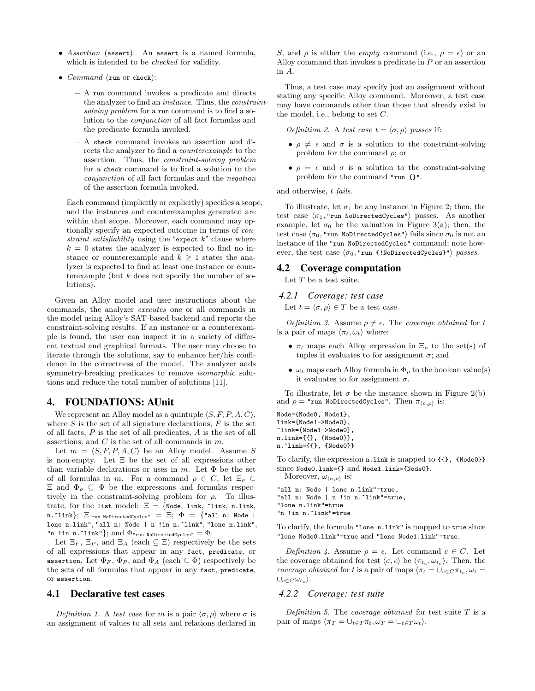- Assertion (assert). An assert is a named formula, which is intended to be checked for validity.
- *Command* (run or check):
	- A run command invokes a predicate and directs the analyzer to find an instance. Thus, the constraintsolving problem for a run command is to find a solution to the conjunction of all fact formulas and the predicate formula invoked.
	- A check command invokes an assertion and directs the analyzer to find a counterexample to the assertion. Thus, the constraint-solving problem for a check command is to find a solution to the conjunction of all fact formulas and the negation of the assertion formula invoked.

Each command (implicitly or explicitly) specifies a scope, and the instances and counterexamples generated are within that scope. Moreover, each command may optionally specify an expected outcome in terms of constraint satisfiability using the "expect  $k$ " clause where  $k = 0$  states the analyzer is expected to find no instance or counterexample and  $k \geq 1$  states the analyzer is expected to find at least one instance or counterexample (but  $k$  does not specify the number of solutions).

Given an Alloy model and user instructions about the commands, the analyzer executes one or all commands in the model using Alloy's SAT-based backend and reports the constraint-solving results. If an instance or a counterexample is found, the user can inspect it in a variety of different textual and graphical formats. The user may choose to iterate through the solutions, say to enhance her/his confidence in the correctness of the model. The analyzer adds symmetry-breaking predicates to remove isomorphic solutions and reduce the total number of solutions [11].

## 4. FOUNDATIONS: AUnit

We represent an Alloy model as a quintuple  $\langle S, F, P, A, C \rangle$ , where  $S$  is the set of all signature declarations,  $F$  is the set of all facts, P is the set of all predicates, A is the set of all assertions, and  $C$  is the set of all commands in  $m$ .

Let  $m = \langle S, F, P, A, C \rangle$  be an Alloy model. Assume S is non-empty. Let Ξ be the set of all expressions other than variable declarations or uses in m. Let  $\Phi$  be the set of all formulas in m. For a command  $\rho \in C$ , let  $\Xi_{\rho} \subseteq$ Ξ and Φ<sup>ρ</sup> ⊆ Φ be the expressions and formulas respectively in the constraint-solving problem for  $\rho$ . To illustrate, for the list model:  $\Xi = \{$ Node, link,  $\hat{}$ link, n.link, n.<sup>2</sup>link}; Ξ"run NoDirectedCycles" = Ξ;  $\Phi$  = {"all n: Node | lone n.link", "all n: Node | n !in n.^link", "lone n.link", "n !in n.^link"}; and  $\Phi$ "run NoDirectedCycles" =  $\Phi$ .

Let  $\Xi_F$ ,  $\Xi_P$ , and  $\Xi_A$  (each  $\subseteq \Xi$ ) respectively be the sets of all expressions that appear in any fact, predicate, or assertion. Let  $\Phi_F$ ,  $\Phi_P$ , and  $\Phi_A$  (each  $\subseteq \Phi$ ) respectively be the sets of all formulas that appear in any fact, predicate, or assertion.

#### 4.1 Declarative test cases

Definition 1. A test case for m is a pair  $\langle \sigma, \rho \rangle$  where  $\sigma$  is an assignment of values to all sets and relations declared in

S, and  $\rho$  is either the *empty* command (i.e.,  $\rho = \epsilon$ ) or an Alloy command that invokes a predicate in P or an assertion in A.

Thus, a test case may specify just an assignment without stating any specific Alloy command. Moreover, a test case may have commands other than those that already exist in the model, i.e., belong to set C.

Definition 2. A test case  $t = \langle \sigma, \rho \rangle$  passes if:

- $\rho \neq \epsilon$  and  $\sigma$  is a solution to the constraint-solving problem for the command  $\rho$ ; or
- $\rho = \epsilon$  and  $\sigma$  is a solution to the constraint-solving problem for the command "run {}".

and otherwise, t fails.

To illustrate, let  $\sigma_1$  be any instance in Figure 2; then, the test case  $\langle \sigma_1$ , "run NoDirectedCycles") passes. As another example, let  $\sigma_0$  be the valuation in Figure 3(a); then, the test case  $\langle \sigma_0$ , "run NoDirectedCycles") fails since  $\sigma_0$  is not an instance of the "run NoDirectedCycles" command; note however, the test case  $\langle \sigma_0$ , "run {!NoDirectedCycles}") passes.

#### 4.2 Coverage computation

Let  $T$  be a test suite.

#### *4.2.1 Coverage: test case*

Let  $t = \langle \sigma, \rho \rangle \in T$  be a test case.

Definition 3. Assume  $\rho \neq \epsilon$ . The coverage obtained for t is a pair of maps  $\langle \pi_t, \omega_t \rangle$  where:

- $\pi_t$  maps each Alloy expression in  $\Xi_\rho$  to the set(s) of tuples it evaluates to for assignment  $\sigma$ ; and
- $\omega_t$  maps each Alloy formula in  $\Phi_\rho$  to the boolean value(s) it evaluates to for assignment  $\sigma$ .

To illustrate, let  $\sigma$  be the instance shown in Figure 2(b) and  $\rho =$  "run NoDirectedCycles". Then  $\pi_{\langle \sigma, \rho \rangle}$  is:

```
Node={Node0, Node1},
link={Node1->Node0},
^link={Node1->Node0},
n.link={{}, {Node0}},
n.^link={{}, {Node0}}
```
To clarify, the expression n.link is mapped to {{}, {Node0}} since Node0.link={} and Node1.link={Node0}. Moreover,  $\omega_{\langle \sigma, \rho \rangle}$  is:

```
"all n: Node | lone n.link"=true,
"all n: Node | n !in n.^link"=true,
"lone n.link"=true
```
"n !in n.^link"=true

To clarify, the formula "lone n.link" is mapped to true since "lone Node0.link"=true and "lone Node1.link"=true.

Definition 4. Assume  $\rho = \epsilon$ . Let command  $c \in C$ . Let the coverage obtained for test  $\langle \sigma, c \rangle$  be  $\langle \pi_{t_c}, \omega_{t_c} \rangle$ . Then, the coverage obtained for t is a pair of maps  $\langle \pi_t = \cup_{c \in C} \pi_{t_c}, \omega_t =$  $\cup_{c\in C}\omega_{t_c}\rangle.$ 

### *4.2.2 Coverage: test suite*

Definition 5. The coverage obtained for test suite  $T$  is a pair of maps  $\langle \pi_T = \cup_{t \in T} \pi_t, \omega_T = \cup_{t \in T} \omega_t \rangle$ .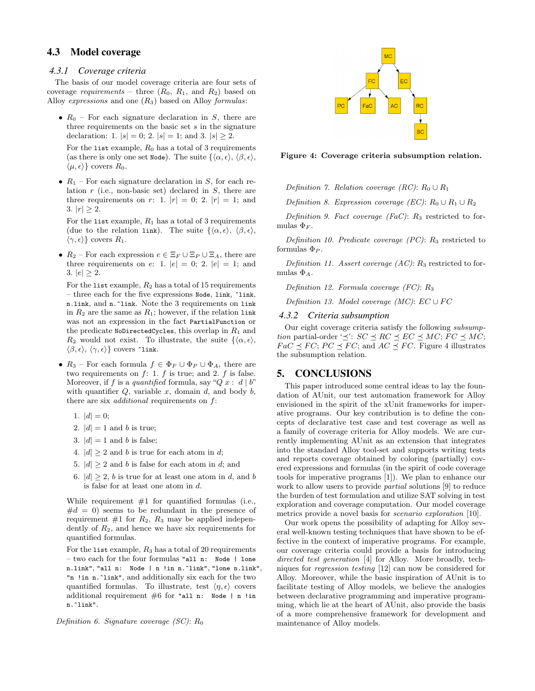# 4.3 Model coverage

#### *4.3.1 Coverage criteria*

The basis of our model coverage criteria are four sets of coverage requirements – three  $(R_0, R_1, \text{ and } R_2)$  based on Alloy expressions and one  $(R_3)$  based on Alloy formulas:

•  $R_0$  – For each signature declaration in S, there are three requirements on the basic set s in the signature declaration: 1.  $|s| = 0$ ; 2.  $|s| = 1$ ; and 3.  $|s| \ge 2$ .

For the list example,  $R_0$  has a total of 3 requirements (as there is only one set Node). The suite  $\{\langle \alpha, \epsilon \rangle, \langle \beta, \epsilon \rangle, \}$  $\langle \mu, \epsilon \rangle$  covers  $R_0$ .

•  $R_1$  – For each signature declaration in S, for each relation  $r$  (i.e., non-basic set) declared in  $S$ , there are three requirements on r: 1.  $|r| = 0$ ; 2.  $|r| = 1$ ; and 3.  $|r| \geq 2$ .

For the list example,  $R_1$  has a total of 3 requirements (due to the relation link). The suite  $\{\langle \alpha, \epsilon \rangle, \langle \beta, \epsilon \rangle, \}$  $\langle \gamma, \epsilon \rangle$ } covers  $R_1$ .

- $R_2$  For each expression  $e \in \Xi_F \cup \Xi_P \cup \Xi_A$ , there are three requirements on e: 1.  $|e| = 0$ ; 2.  $|e| = 1$ ; and 3.  $|e| \geq 2$ .
	- For the list example,  $R_2$  has a total of 15 requirements – three each for the five expressions Node, link, ^link, n.link, and n.^link. Note the 3 requirements on link in  $R_2$  are the same as  $R_1$ ; however, if the relation link was not an expression in the fact PartialFunction or the predicate NoDirectedCycles, this overlap in  $R_1$  and  $R_2$  would not exist. To illustrate, the suite  $\{\langle \alpha, \epsilon \rangle,$  $\langle \beta, \epsilon \rangle$ ,  $\langle \gamma, \epsilon \rangle$ } covers ^link.
- $R_3$  For each formula  $f \in \Phi_F \cup \Phi_P \cup \Phi_A$ , there are two requirements on  $f: 1. f$  is true; and 2.  $f$  is false. Moreover, if f is a quantified formula, say " $Q x : d | b$ " with quantifier  $Q$ , variable x, domain d, and body  $b$ , there are six additional requirements on f:
	- 1.  $|d| = 0$ ;
	- 2.  $|d| = 1$  and b is true;
	- 3.  $|d| = 1$  and b is false;
	- 4.  $|d| > 2$  and b is true for each atom in d;
	- 5.  $|d| \geq 2$  and b is false for each atom in d; and
	- 6.  $|d| > 2$ , b is true for at least one atom in d, and b is false for at least one atom in d.

While requirement  $#1$  for quantified formulas (i.e.,  $\#d = 0$ ) seems to be redundant in the presence of requirement  $#1$  for  $R_2$ ,  $R_3$  may be applied independently of  $R_2$ , and hence we have six requirements for quantified formulas.

For the list example,  $R_3$  has a total of 20 requirements – two each for the four formulas "all n: Node | lone n.link", "all n: Node | n !in n.^link", "lone n.link", "n !in n.^link", and additionally six each for the two quantified formulas. To illustrate, test  $\langle \eta, \epsilon \rangle$  covers additional requirement  $#6$  for "all n: Node | n !in n.^link".

Definition 6. Signature coverage  $(SC)$ :  $R_0$ 



Figure 4: Coverage criteria subsumption relation.

Definition 7. Relation coverage  $(RC)$ :  $R_0 \cup R_1$ 

Definition 8. Expression coverage (EC):  $R_0 \cup R_1 \cup R_2$ 

Definition 9. Fact coverage (FaC):  $R_3$  restricted to formulas  $\Phi_F$ .

Definition 10. Predicate coverage  $(PC)$ :  $R_3$  restricted to formulas  $\Phi_P$ .

Definition 11. Assert coverage  $(AC)$ :  $R_3$  restricted to formulas  $\Phi_A$ .

Definition 12. Formula coverage  $(FC)$ :  $R_3$ 

Definition 13. Model coverage (MC):  $EC \cup FC$ 

#### *4.3.2 Criteria subsumption*

Our eight coverage criteria satisfy the following subsumption partial-order ' $\preceq$ ':  $SC \preceq RC \preceq EC \preceq MC$ ;  $FC \preceq MC$ ;  $Fac \preceq FC; PC \preceq FC;$  and  $AC \preceq FC$ . Figure 4 illustrates the subsumption relation.

# 5. CONCLUSIONS

This paper introduced some central ideas to lay the foundation of AUnit, our test automation framework for Alloy envisioned in the spirit of the xUnit frameworks for imperative programs. Our key contribution is to define the concepts of declarative test case and test coverage as well as a family of coverage criteria for Alloy models. We are currently implementing AUnit as an extension that integrates into the standard Alloy tool-set and supports writing tests and reports coverage obtained by coloring (partially) covered expressions and formulas (in the spirit of code coverage tools for imperative programs [1]). We plan to enhance our work to allow users to provide partial solutions [9] to reduce the burden of test formulation and utilize SAT solving in test exploration and coverage computation. Our model coverage metrics provide a novel basis for scenario exploration [10].

Our work opens the possibility of adapting for Alloy several well-known testing techniques that have shown to be effective in the context of imperative programs. For example, our coverage criteria could provide a basis for introducing directed test generation [4] for Alloy. More broadly, techniques for regression testing [12] can now be considered for Alloy. Moreover, while the basic inspiration of AUnit is to facilitate testing of Alloy models, we believe the analogies between declarative programming and imperative programming, which lie at the heart of AUnit, also provide the basis of a more comprehensive framework for development and maintenance of Alloy models.